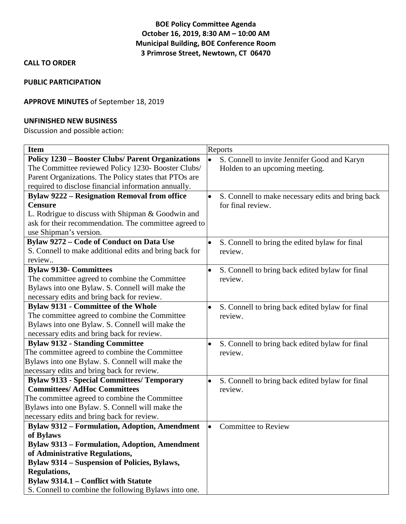# **BOE Policy Committee Agenda October 16, 2019, 8:30 AM – 10:00 AM Municipal Building, BOE Conference Room 3 Primrose Street, Newtown, CT 06470**

## **CALL TO ORDER**

#### **PUBLIC PARTICIPATION**

## **APPROVE MINUTES** of September 18, 2019

#### **UNFINISHED NEW BUSINESS**

Discussion and possible action:

| <b>Item</b>                                              | Reports                                                        |
|----------------------------------------------------------|----------------------------------------------------------------|
| <b>Policy 1230 – Booster Clubs/ Parent Organizations</b> | $\bullet$<br>S. Connell to invite Jennifer Good and Karyn      |
| The Committee reviewed Policy 1230- Booster Clubs/       | Holden to an upcoming meeting.                                 |
| Parent Organizations. The Policy states that PTOs are    |                                                                |
| required to disclose financial information annually.     |                                                                |
| <b>Bylaw 9222 - Resignation Removal from office</b>      | S. Connell to make necessary edits and bring back<br>$\bullet$ |
| <b>Censure</b>                                           | for final review.                                              |
| L. Rodrigue to discuss with Shipman & Goodwin and        |                                                                |
| ask for their recommendation. The committee agreed to    |                                                                |
| use Shipman's version.                                   |                                                                |
| Bylaw 9272 - Code of Conduct on Data Use                 | S. Connell to bring the edited bylaw for final                 |
| S. Connell to make additional edits and bring back for   | review.                                                        |
| review                                                   |                                                                |
| <b>Bylaw 9130- Committees</b>                            | S. Connell to bring back edited bylaw for final<br>$\bullet$   |
| The committee agreed to combine the Committee            | review.                                                        |
| Bylaws into one Bylaw. S. Connell will make the          |                                                                |
| necessary edits and bring back for review.               |                                                                |
| <b>Bylaw 9131 - Committee of the Whole</b>               | S. Connell to bring back edited bylaw for final                |
| The committee agreed to combine the Committee            | review.                                                        |
| Bylaws into one Bylaw. S. Connell will make the          |                                                                |
| necessary edits and bring back for review.               |                                                                |
| <b>Bylaw 9132 - Standing Committee</b>                   | S. Connell to bring back edited bylaw for final                |
| The committee agreed to combine the Committee            | review.                                                        |
| Bylaws into one Bylaw. S. Connell will make the          |                                                                |
| necessary edits and bring back for review.               |                                                                |
| <b>Bylaw 9133 - Special Committees/ Temporary</b>        | S. Connell to bring back edited bylaw for final<br>$\bullet$   |
| <b>Committees/AdHoc Committees</b>                       | review.                                                        |
| The committee agreed to combine the Committee            |                                                                |
| Bylaws into one Bylaw. S. Connell will make the          |                                                                |
| necessary edits and bring back for review.               |                                                                |
| <b>Bylaw 9312 - Formulation, Adoption, Amendment</b>     | <b>Committee to Review</b><br>$\bullet$                        |
| of Bylaws                                                |                                                                |
| <b>Bylaw 9313 – Formulation, Adoption, Amendment</b>     |                                                                |
| of Administrative Regulations,                           |                                                                |
| <b>Bylaw 9314 – Suspension of Policies, Bylaws,</b>      |                                                                |
| <b>Regulations,</b>                                      |                                                                |
| Bylaw 9314.1 - Conflict with Statute                     |                                                                |
| S. Connell to combine the following Bylaws into one.     |                                                                |